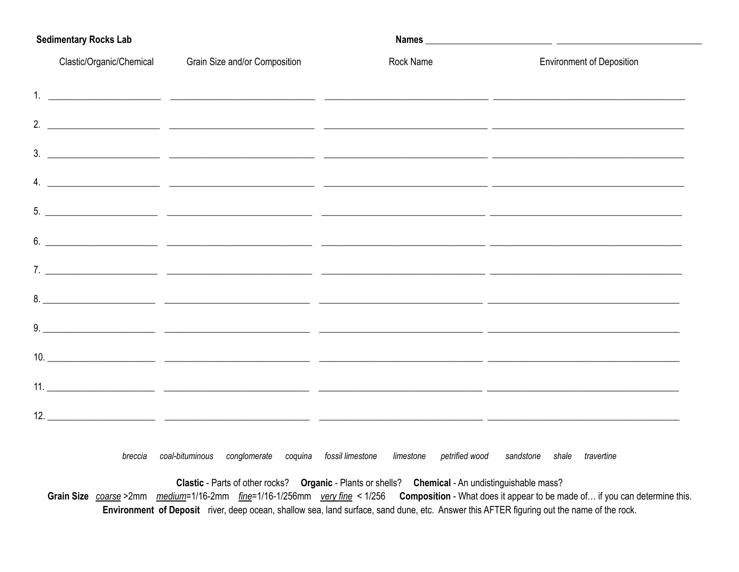| <b>Sedimentary Rocks Lab</b> |                               |           |                                            |  |  |  |  |
|------------------------------|-------------------------------|-----------|--------------------------------------------|--|--|--|--|
| Clastic/Organic/Chemical     | Grain Size and/or Composition | Rock Name | <b>Environment of Deposition</b>           |  |  |  |  |
|                              |                               |           |                                            |  |  |  |  |
|                              |                               |           |                                            |  |  |  |  |
|                              |                               |           |                                            |  |  |  |  |
|                              |                               |           |                                            |  |  |  |  |
|                              |                               |           |                                            |  |  |  |  |
|                              |                               |           | $\overline{6.}$ $\overline{\phantom{1.}0}$ |  |  |  |  |
|                              |                               |           |                                            |  |  |  |  |
|                              |                               |           |                                            |  |  |  |  |
|                              |                               |           |                                            |  |  |  |  |
|                              |                               |           |                                            |  |  |  |  |
|                              |                               |           |                                            |  |  |  |  |
|                              |                               |           |                                            |  |  |  |  |

breccia coal-bituminous conglomerate coquina fossil limestone limestone petrified wood sandstone shale travertine

Clastic - Parts of other rocks? Organic - Plants or shells? Chemical - An undistinguishable mass? Grain Size coarse >2mm medium=1/16-2mm fine=1/16-1/256mm very fine < 1/256 Composition - What does it appear to be made of... if you can determine this. Environment of Deposit river, deep ocean, shallow sea, land surface, sand dune, etc. Answer this AFTER figuring out the name of the rock.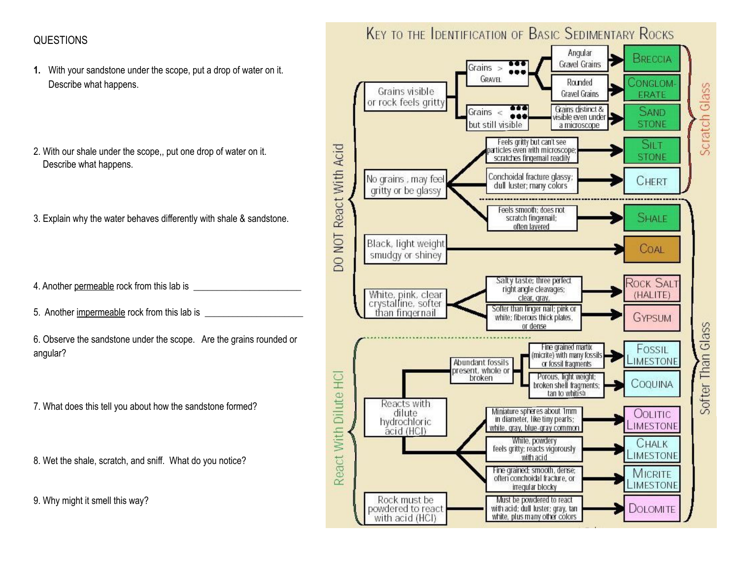## QUESTIONS

- **1.** With your sandstone under the scope, put a drop of water on it. Describe what happens.
- 2. With our shale under the scope,, put one drop of water on it. Describe what happens.
- 3. Explain why the water behaves differently with shale & sandstone.
- 4. Another permeable rock from this lab is
- 5. Another impermeable rock from this lab is
- 6. Observe the sandstone under the scope. Are the grains rounded or angular?
- 7. What does this tell you about how the sandstone formed?
- 8. Wet the shale, scratch, and sniff. What do you notice?
- 9. Why might it smell this way?

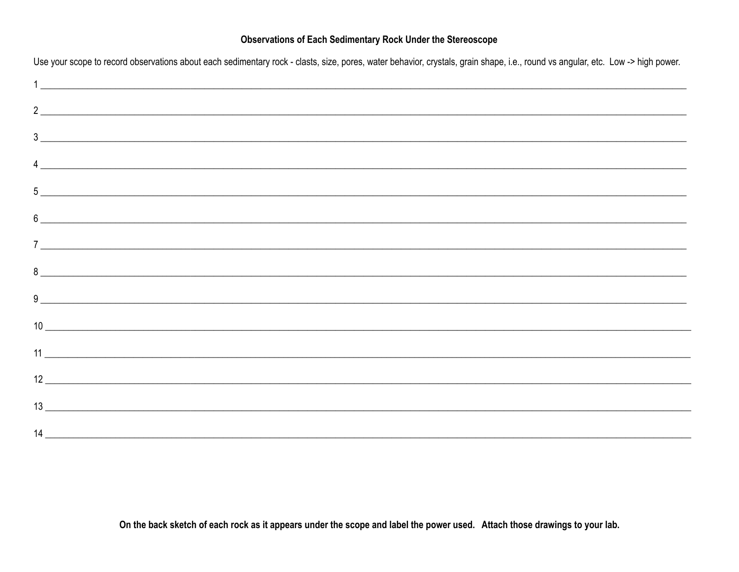## **Observations of Each Sedimentary Rock Under the Stereoscope**

| Use your scope to record observations about each sedimentary rock - clasts, size, pores, water behavior, crystals, grain shape, i.e., round vs angular, etc. Low -> high power.                                              |
|------------------------------------------------------------------------------------------------------------------------------------------------------------------------------------------------------------------------------|
|                                                                                                                                                                                                                              |
| $\frac{2}{2}$                                                                                                                                                                                                                |
|                                                                                                                                                                                                                              |
| $\frac{1}{2}$                                                                                                                                                                                                                |
|                                                                                                                                                                                                                              |
| $6 \overline{\phantom{a}}$                                                                                                                                                                                                   |
|                                                                                                                                                                                                                              |
| $8$ $\overline{\phantom{a}}$                                                                                                                                                                                                 |
|                                                                                                                                                                                                                              |
| $10$ $\overline{\phantom{a}}$                                                                                                                                                                                                |
|                                                                                                                                                                                                                              |
| $\begin{array}{c c} \hline \end{array}$                                                                                                                                                                                      |
| $13$ and $13$ and $13$ and $13$ and $13$ and $13$ and $13$ and $13$ and $13$ and $13$ and $13$ and $13$ and $13$ and $13$ and $13$ and $13$ and $13$ and $13$ and $13$ and $13$ and $13$ and $13$ and $13$ and $13$ and $13$ |
| $14 \overline{ }$                                                                                                                                                                                                            |

On the back sketch of each rock as it appears under the scope and label the power used. Attach those drawings to your lab.